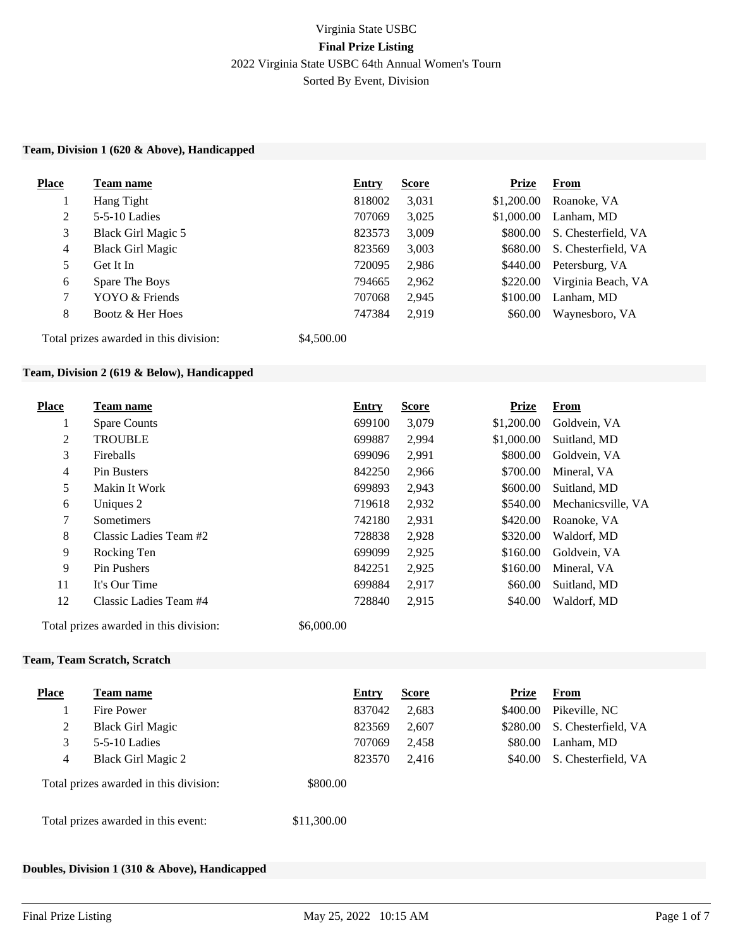# Virginia State USBC **Final Prize Listing** 2022 Virginia State USBC 64th Annual Women's Tourn Sorted By Event, Division

#### **Team, Division 1 (620 & Above), Handicapped**

| <b>Place</b>   | Team name                              | <b>Entry</b> | <b>Score</b> | <b>Prize</b> | <b>From</b>         |
|----------------|----------------------------------------|--------------|--------------|--------------|---------------------|
|                | Hang Tight                             | 818002       | 3,031        | \$1,200.00   | Roanoke, VA         |
| 2              | $5-5-10$ Ladies                        | 707069       | 3,025        | \$1,000.00   | Lanham, MD          |
| 3              | Black Girl Magic 5                     | 823573       | 3,009        | \$800.00     | S. Chesterfield, VA |
| $\overline{4}$ | <b>Black Girl Magic</b>                | 823569       | 3,003        | \$680.00     | S. Chesterfield, VA |
| 5              | Get It In                              | 720095       | 2,986        | \$440.00     | Petersburg, VA      |
| 6              | Spare The Boys                         | 794665       | 2,962        | \$220.00     | Virginia Beach, VA  |
| $\tau$         | YOYO & Friends                         | 707068       | 2,945        | \$100.00     | Lanham, MD          |
| 8              | Bootz & Her Hoes                       | 747384       | 2,919        | \$60.00      | Waynesboro, VA      |
|                | Total prizes awarded in this division: | \$4,500.00   |              |              |                     |

#### **Team, Division 2 (619 & Below), Handicapped**

| <b>Place</b> | Team name              | <b>Entry</b> | <b>Score</b> | <b>Prize</b> | <b>From</b>        |
|--------------|------------------------|--------------|--------------|--------------|--------------------|
| 1            | <b>Spare Counts</b>    | 699100       | 3.079        | \$1,200.00   | Goldvein, VA       |
| 2            | <b>TROUBLE</b>         | 699887       | 2,994        | \$1,000.00   | Suitland, MD       |
| 3            | <b>Fireballs</b>       | 699096       | 2,991        | \$800.00     | Goldvein, VA       |
| 4            | Pin Busters            | 842250       | 2,966        | \$700.00     | Mineral, VA        |
| 5            | Makin It Work          | 699893       | 2,943        | \$600.00     | Suitland, MD       |
| 6            | Uniques 2              | 719618       | 2,932        | \$540.00     | Mechanicsville, VA |
| 7            | <b>Sometimers</b>      | 742180       | 2,931        | \$420.00     | Roanoke, VA        |
| 8            | Classic Ladies Team #2 | 728838       | 2,928        | \$320.00     | Waldorf, MD        |
| 9            | Rocking Ten            | 699099       | 2,925        | \$160.00     | Goldvein, VA       |
| 9            | Pin Pushers            | 842251       | 2,925        | \$160.00     | Mineral, VA        |
| 11           | It's Our Time          | 699884       | 2,917        | \$60.00      | Suitland, MD       |
| 12           | Classic Ladies Team #4 | 728840       | 2,915        | \$40.00      | Waldorf, MD        |

Total prizes awarded in this division: \$6,000.00

#### **Team, Team Scratch, Scratch**

| Place | Team name                              |             | <b>Entry</b> | <b>Score</b> | <b>Prize</b> | <b>From</b>         |
|-------|----------------------------------------|-------------|--------------|--------------|--------------|---------------------|
|       | Fire Power                             |             | 837042       | 2,683        | \$400.00     | Pikeville, NC       |
| 2     | <b>Black Girl Magic</b>                |             | 823569       | 2,607        | \$280.00     | S. Chesterfield, VA |
| 3     | $5-5-10$ Ladies                        |             | 707069       | 2,458        | \$80.00      | Lanham, MD          |
| 4     | <b>Black Girl Magic 2</b>              |             | 823570       | 2.416        | \$40.00      | S. Chesterfield, VA |
|       | Total prizes awarded in this division: | \$800.00    |              |              |              |                     |
|       | Total prizes awarded in this event:    | \$11,300.00 |              |              |              |                     |

#### **Doubles, Division 1 (310 & Above), Handicapped**

**Place Team name Entry Score Prize From**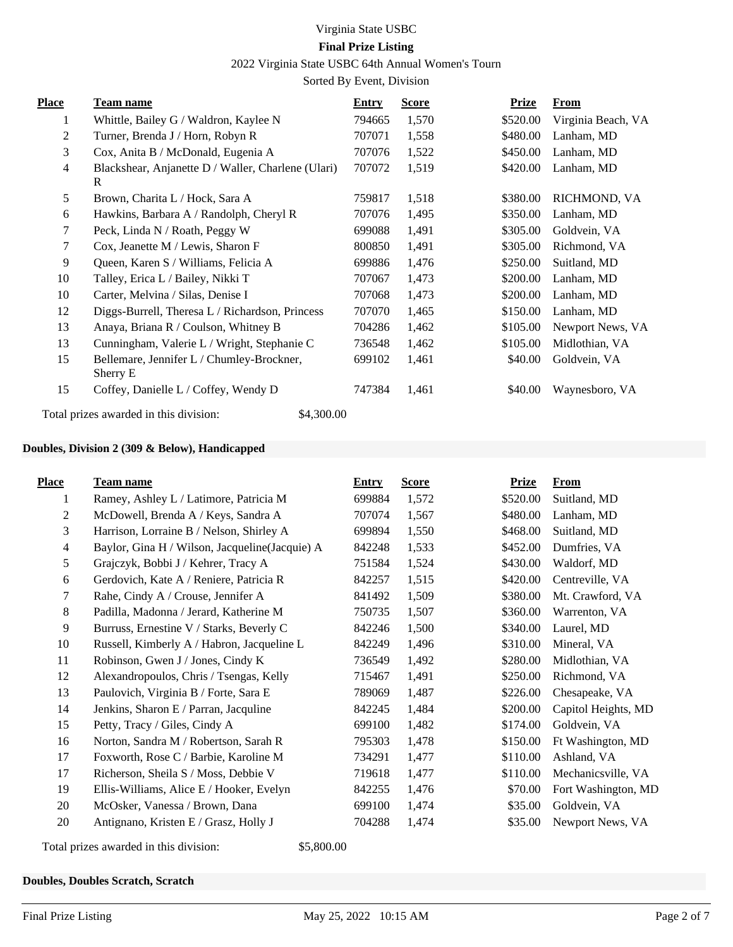# 2022 Virginia State USBC 64th Annual Women's Tourn

Sorted By Event, Division

| <b>Place</b>   | <b>Team name</b>                                        | <b>Entry</b> | <b>Score</b> | <u>Prize</u> | <u>From</u>        |
|----------------|---------------------------------------------------------|--------------|--------------|--------------|--------------------|
| 1              | Whittle, Bailey G / Waldron, Kaylee N                   | 794665       | 1,570        | \$520.00     | Virginia Beach, VA |
| 2              | Turner, Brenda J / Horn, Robyn R                        | 707071       | 1,558        | \$480.00     | Lanham, MD         |
| 3              | Cox, Anita B / McDonald, Eugenia A                      | 707076       | 1,522        | \$450.00     | Lanham, MD         |
| $\overline{4}$ | Blackshear, Anjanette D / Waller, Charlene (Ulari)<br>R | 707072       | 1,519        | \$420.00     | Lanham, MD         |
| 5              | Brown, Charita L / Hock, Sara A                         | 759817       | 1,518        | \$380.00     | RICHMOND, VA       |
| 6              | Hawkins, Barbara A / Randolph, Cheryl R                 | 707076       | 1,495        | \$350.00     | Lanham, MD         |
| 7              | Peck, Linda N / Roath, Peggy W                          | 699088       | 1,491        | \$305.00     | Goldvein, VA       |
| 7              | Cox, Jeanette M / Lewis, Sharon F                       | 800850       | 1,491        | \$305.00     | Richmond, VA       |
| 9              | Queen, Karen S / Williams, Felicia A                    | 699886       | 1,476        | \$250.00     | Suitland, MD       |
| 10             | Talley, Erica L / Bailey, Nikki T                       | 707067       | 1,473        | \$200.00     | Lanham, MD         |
| 10             | Carter, Melvina / Silas, Denise I                       | 707068       | 1,473        | \$200.00     | Lanham, MD         |
| 12             | Diggs-Burrell, Theresa L / Richardson, Princess         | 707070       | 1,465        | \$150.00     | Lanham, MD         |
| 13             | Anaya, Briana R / Coulson, Whitney B                    | 704286       | 1,462        | \$105.00     | Newport News, VA   |
| 13             | Cunningham, Valerie L / Wright, Stephanie C             | 736548       | 1,462        | \$105.00     | Midlothian, VA     |
| 15             | Bellemare, Jennifer L / Chumley-Brockner,<br>Sherry E   | 699102       | 1,461        | \$40.00      | Goldvein, VA       |
| 15             | Coffey, Danielle L / Coffey, Wendy D                    | 747384       | 1,461        | \$40.00      | Waynesboro, VA     |
|                | Total prizes awarded in this division:<br>\$4,300.00    |              |              |              |                    |

#### **Doubles, Division 2 (309 & Below), Handicapped**

| <b>Place</b>   | <b>Team name</b>                                | <b>Entry</b> | <b>Score</b> | <b>Prize</b> | <b>From</b>         |
|----------------|-------------------------------------------------|--------------|--------------|--------------|---------------------|
| 1              | Ramey, Ashley L / Latimore, Patricia M          | 699884       | 1,572        | \$520.00     | Suitland, MD        |
| 2              | McDowell, Brenda A / Keys, Sandra A             | 707074       | 1,567        | \$480.00     | Lanham, MD          |
| 3              | Harrison, Lorraine B / Nelson, Shirley A        | 699894       | 1,550        | \$468.00     | Suitland, MD        |
| $\overline{4}$ | Baylor, Gina H / Wilson, Jacqueline (Jacquie) A | 842248       | 1,533        | \$452.00     | Dumfries, VA        |
| 5              | Grajczyk, Bobbi J / Kehrer, Tracy A             | 751584       | 1,524        | \$430.00     | Waldorf, MD         |
| 6              | Gerdovich, Kate A / Reniere, Patricia R         | 842257       | 1,515        | \$420.00     | Centreville, VA     |
| 7              | Rahe, Cindy A / Crouse, Jennifer A              | 841492       | 1,509        | \$380.00     | Mt. Crawford, VA    |
| 8              | Padilla, Madonna / Jerard, Katherine M          | 750735       | 1,507        | \$360.00     | Warrenton, VA       |
| 9              | Burruss, Ernestine V / Starks, Beverly C        | 842246       | 1,500        | \$340.00     | Laurel, MD          |
| 10             | Russell, Kimberly A / Habron, Jacqueline L      | 842249       | 1,496        | \$310.00     | Mineral, VA         |
| 11             | Robinson, Gwen J / Jones, Cindy K               | 736549       | 1,492        | \$280.00     | Midlothian, VA      |
| 12             | Alexandropoulos, Chris / Tsengas, Kelly         | 715467       | 1,491        | \$250.00     | Richmond, VA        |
| 13             | Paulovich, Virginia B / Forte, Sara E           | 789069       | 1,487        | \$226.00     | Chesapeake, VA      |
| 14             | Jenkins, Sharon E / Parran, Jacquline           | 842245       | 1,484        | \$200.00     | Capitol Heights, MD |
| 15             | Petty, Tracy / Giles, Cindy A                   | 699100       | 1,482        | \$174.00     | Goldvein, VA        |
| 16             | Norton, Sandra M / Robertson, Sarah R           | 795303       | 1,478        | \$150.00     | Ft Washington, MD   |
| 17             | Foxworth, Rose C / Barbie, Karoline M           | 734291       | 1,477        | \$110.00     | Ashland, VA         |
| 17             | Richerson, Sheila S / Moss, Debbie V            | 719618       | 1,477        | \$110.00     | Mechanicsville, VA  |
| 19             | Ellis-Williams, Alice E / Hooker, Evelyn        | 842255       | 1,476        | \$70.00      | Fort Washington, MD |
| 20             | McOsker, Vanessa / Brown, Dana                  | 699100       | 1,474        | \$35.00      | Goldvein, VA        |
| 20             | Antignano, Kristen E / Grasz, Holly J           | 704288       | 1,474        | \$35.00      | Newport News, VA    |

Total prizes awarded in this division: \$5,800.00

# **Doubles, Doubles Scratch, Scratch**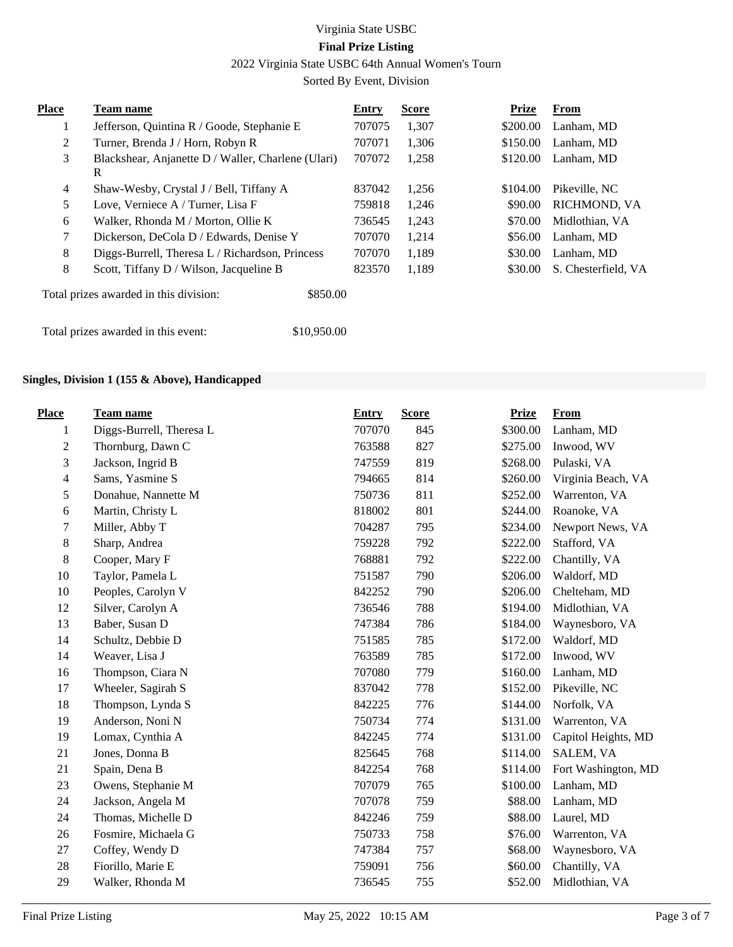2022 Virginia State USBC 64th Annual Women's Tourn

Sorted By Event, Division

| <b>Place</b> | <b>Team name</b>                                        | Entry  | <b>Score</b> | <b>Prize</b> | From                |
|--------------|---------------------------------------------------------|--------|--------------|--------------|---------------------|
|              | Jefferson, Quintina R / Goode, Stephanie E              | 707075 | 1,307        | \$200.00     | Lanham, MD          |
| 2            | Turner, Brenda J / Horn, Robyn R                        | 707071 | 1,306        | \$150.00     | Lanham, MD          |
| 3            | Blackshear, Anjanette D / Waller, Charlene (Ulari)<br>R | 707072 | 1,258        | \$120.00     | Lanham, MD          |
| 4            | Shaw-Wesby, Crystal J / Bell, Tiffany A                 | 837042 | 1,256        | \$104.00     | Pikeville, NC       |
| 5            | Love, Verniece A / Turner, Lisa F                       | 759818 | 1.246        | \$90.00      | <b>RICHMOND, VA</b> |
| 6            | Walker, Rhonda M / Morton, Ollie K                      | 736545 | 1,243        | \$70.00      | Midlothian, VA      |
| 7            | Dickerson, DeCola D / Edwards, Denise Y                 | 707070 | 1,214        | \$56.00      | Lanham, MD          |
| 8            | Diggs-Burrell, Theresa L / Richardson, Princess         | 707070 | 1,189        | \$30.00      | Lanham, MD          |
| 8            | Scott, Tiffany D / Wilson, Jacqueline B                 | 823570 | 1,189        | \$30.00      | S. Chesterfield, VA |
|              | Total prizes awarded in this division:<br>\$850.00      |        |              |              |                     |

Total prizes awarded in this event: \$10,950.00

#### **Singles, Division 1 (155 & Above), Handicapped**

| <b>Place</b>             | <b>Team name</b>         | <b>Entry</b> | <b>Score</b> | <b>Prize</b> | <b>From</b>         |
|--------------------------|--------------------------|--------------|--------------|--------------|---------------------|
| 1                        | Diggs-Burrell, Theresa L | 707070       | 845          | \$300.00     | Lanham, MD          |
| $\overline{c}$           | Thornburg, Dawn C        | 763588       | 827          | \$275.00     | Inwood, WV          |
| 3                        | Jackson, Ingrid B        | 747559       | 819          | \$268.00     | Pulaski, VA         |
| $\overline{\mathcal{L}}$ | Sams, Yasmine S          | 794665       | 814          | \$260.00     | Virginia Beach, VA  |
| 5                        | Donahue, Nannette M      | 750736       | 811          | \$252.00     | Warrenton, VA       |
| 6                        | Martin, Christy L        | 818002       | 801          | \$244.00     | Roanoke, VA         |
| 7                        | Miller, Abby T           | 704287       | 795          | \$234.00     | Newport News, VA    |
| $\,8$                    | Sharp, Andrea            | 759228       | 792          | \$222.00     | Stafford, VA        |
| 8                        | Cooper, Mary F           | 768881       | 792          | \$222.00     | Chantilly, VA       |
| 10                       | Taylor, Pamela L         | 751587       | 790          | \$206.00     | Waldorf, MD         |
| 10                       | Peoples, Carolyn V       | 842252       | 790          | \$206.00     | Chelteham, MD       |
| 12                       | Silver, Carolyn A        | 736546       | 788          | \$194.00     | Midlothian, VA      |
| 13                       | Baber, Susan D           | 747384       | 786          | \$184.00     | Waynesboro, VA      |
| 14                       | Schultz, Debbie D        | 751585       | 785          | \$172.00     | Waldorf, MD         |
| 14                       | Weaver, Lisa J           | 763589       | 785          | \$172.00     | Inwood, WV          |
| 16                       | Thompson, Ciara N        | 707080       | 779          | \$160.00     | Lanham, MD          |
| 17                       | Wheeler, Sagirah S       | 837042       | 778          | \$152.00     | Pikeville, NC       |
| 18                       | Thompson, Lynda S        | 842225       | 776          | \$144.00     | Norfolk, VA         |
| 19                       | Anderson, Noni N         | 750734       | 774          | \$131.00     | Warrenton, VA       |
| 19                       | Lomax, Cynthia A         | 842245       | 774          | \$131.00     | Capitol Heights, MD |
| 21                       | Jones, Donna B           | 825645       | 768          | \$114.00     | SALEM, VA           |
| 21                       | Spain, Dena B            | 842254       | 768          | \$114.00     | Fort Washington, MD |
| 23                       | Owens, Stephanie M       | 707079       | 765          | \$100.00     | Lanham, MD          |
| 24                       | Jackson, Angela M        | 707078       | 759          | \$88.00      | Lanham, MD          |
| 24                       | Thomas, Michelle D       | 842246       | 759          | \$88.00      | Laurel, MD          |
| 26                       | Fosmire, Michaela G      | 750733       | 758          | \$76.00      | Warrenton, VA       |
| 27                       | Coffey, Wendy D          | 747384       | 757          | \$68.00      | Waynesboro, VA      |
| 28                       | Fiorillo, Marie E        | 759091       | 756          | \$60.00      | Chantilly, VA       |
| 29                       | Walker, Rhonda M         | 736545       | 755          | \$52.00      | Midlothian, VA      |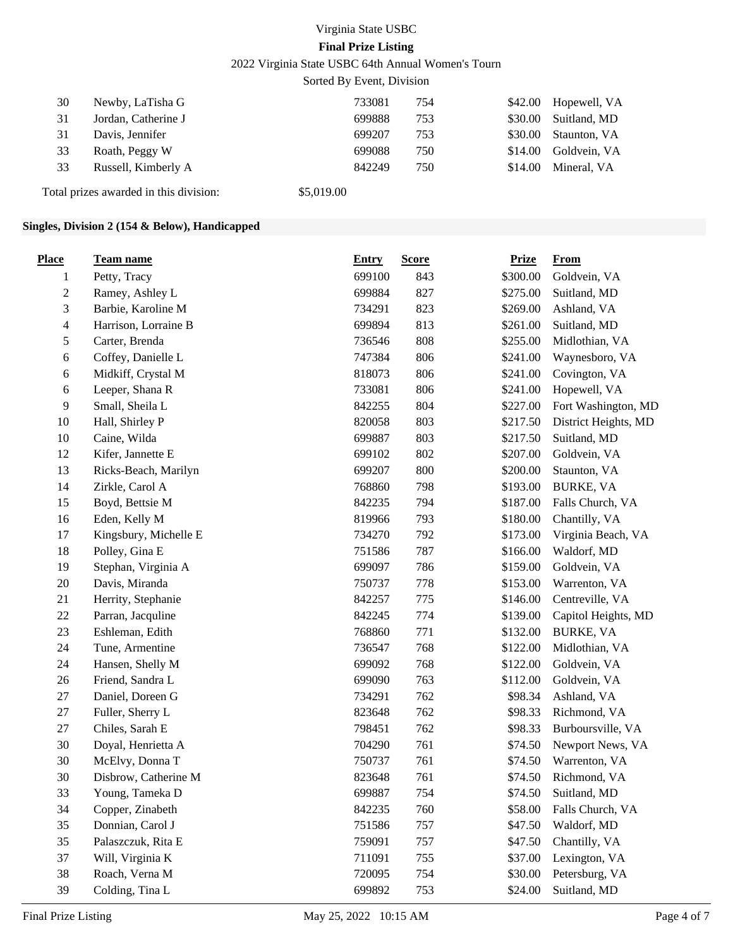2022 Virginia State USBC 64th Annual Women's Tourn

Sorted By Event, Division

| 30 | Newby, LaTisha G    | 733081 | 754 |         | \$42.00 Hopewell, VA |
|----|---------------------|--------|-----|---------|----------------------|
| 31 | Jordan, Catherine J | 699888 | 753 | \$30.00 | Suitland, MD         |
| 31 | Davis, Jennifer     | 699207 | 753 |         | \$30.00 Staunton, VA |
| 33 | Roath, Peggy W      | 699088 | 750 |         | \$14.00 Goldvein, VA |
| 33 | Russell, Kimberly A | 842249 | 750 | \$14.00 | Mineral, VA          |
|    |                     |        |     |         |                      |

Total prizes awarded in this division: \$5,019.00

#### **Singles, Division 2 (154 & Below), Handicapped**

| <b>Place</b> | <b>Team name</b>      | <b>Entry</b> | <b>Score</b> | <b>Prize</b> | From                 |
|--------------|-----------------------|--------------|--------------|--------------|----------------------|
| 1            | Petty, Tracy          | 699100       | 843          | \$300.00     | Goldvein, VA         |
| 2            | Ramey, Ashley L       | 699884       | 827          | \$275.00     | Suitland, MD         |
| 3            | Barbie, Karoline M    | 734291       | 823          | \$269.00     | Ashland, VA          |
| 4            | Harrison, Lorraine B  | 699894       | 813          | \$261.00     | Suitland, MD         |
| 5            | Carter, Brenda        | 736546       | 808          | \$255.00     | Midlothian, VA       |
| 6            | Coffey, Danielle L    | 747384       | 806          | \$241.00     | Waynesboro, VA       |
| 6            | Midkiff, Crystal M    | 818073       | 806          | \$241.00     | Covington, VA        |
| 6            | Leeper, Shana R       | 733081       | 806          | \$241.00     | Hopewell, VA         |
| 9            | Small, Sheila L       | 842255       | 804          | \$227.00     | Fort Washington, MD  |
| 10           | Hall, Shirley P       | 820058       | 803          | \$217.50     | District Heights, MD |
| 10           | Caine, Wilda          | 699887       | 803          | \$217.50     | Suitland, MD         |
| 12           | Kifer, Jannette E     | 699102       | 802          | \$207.00     | Goldvein, VA         |
| 13           | Ricks-Beach, Marilyn  | 699207       | 800          | \$200.00     | Staunton, VA         |
| 14           | Zirkle, Carol A       | 768860       | 798          | \$193.00     | <b>BURKE, VA</b>     |
| 15           | Boyd, Bettsie M       | 842235       | 794          | \$187.00     | Falls Church, VA     |
| 16           | Eden, Kelly M         | 819966       | 793          | \$180.00     | Chantilly, VA        |
| 17           | Kingsbury, Michelle E | 734270       | 792          | \$173.00     | Virginia Beach, VA   |
| 18           | Polley, Gina E        | 751586       | 787          | \$166.00     | Waldorf, MD          |
| 19           | Stephan, Virginia A   | 699097       | 786          | \$159.00     | Goldvein, VA         |
| 20           | Davis, Miranda        | 750737       | 778          | \$153.00     | Warrenton, VA        |
| 21           | Herrity, Stephanie    | 842257       | 775          | \$146.00     | Centreville, VA      |
| $22\,$       | Parran, Jacquline     | 842245       | 774          | \$139.00     | Capitol Heights, MD  |
| 23           | Eshleman, Edith       | 768860       | 771          | \$132.00     | <b>BURKE, VA</b>     |
| 24           | Tune, Armentine       | 736547       | 768          | \$122.00     | Midlothian, VA       |
| 24           | Hansen, Shelly M      | 699092       | 768          | \$122.00     | Goldvein, VA         |
| 26           | Friend, Sandra L      | 699090       | 763          | \$112.00     | Goldvein, VA         |
| 27           | Daniel, Doreen G      | 734291       | 762          | \$98.34      | Ashland, VA          |
| $27\,$       | Fuller, Sherry L      | 823648       | 762          | \$98.33      | Richmond, VA         |
| 27           | Chiles, Sarah E       | 798451       | 762          | \$98.33      | Burboursville, VA    |
| 30           | Doyal, Henrietta A    | 704290       | 761          | \$74.50      | Newport News, VA     |
| 30           | McElvy, Donna T       | 750737       | 761          | \$74.50      | Warrenton, VA        |
| 30           | Disbrow, Catherine M  | 823648       | 761          | \$74.50      | Richmond, VA         |
| 33           | Young, Tameka D       | 699887       | 754          | \$74.50      | Suitland, MD         |
| 34           | Copper, Zinabeth      | 842235       | 760          | \$58.00      | Falls Church, VA     |
| 35           | Donnian, Carol J      | 751586       | 757          | \$47.50      | Waldorf, MD          |
| 35           | Palaszczuk, Rita E    | 759091       | 757          | \$47.50      | Chantilly, VA        |
| 37           | Will, Virginia K      | 711091       | 755          | \$37.00      | Lexington, VA        |
| 38           | Roach, Verna M        | 720095       | 754          | \$30.00      | Petersburg, VA       |
| 39           | Colding, Tina L       | 699892       | 753          | \$24.00      | Suitland, MD         |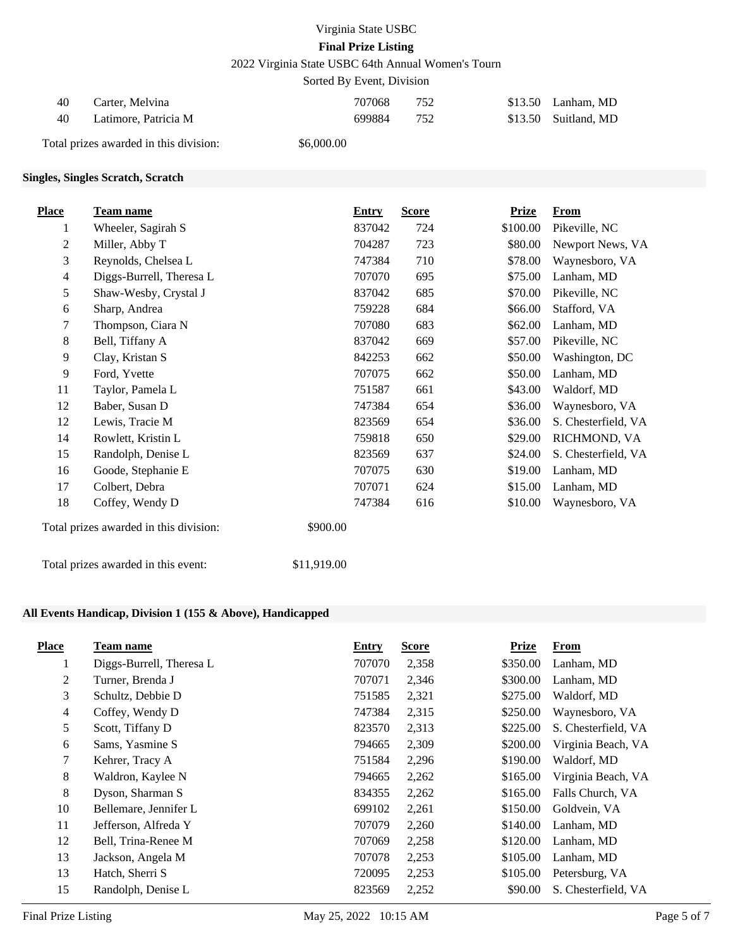2022 Virginia State USBC 64th Annual Women's Tourn

Sorted By Event, Division

| 40  | Carter, Melvina      | 707068 | 752 | $$13.50$ Lanham, MD  |
|-----|----------------------|--------|-----|----------------------|
| -40 | Latimore, Patricia M | 699884 |     | \$13.50 Suitland, MD |

Total prizes awarded in this division: \$6,000.00

### **Singles, Singles Scratch, Scratch**

| Place        | Team name                              | <b>Entry</b> | <b>Score</b> | <b>Prize</b> | <b>From</b>         |
|--------------|----------------------------------------|--------------|--------------|--------------|---------------------|
| 1            | Wheeler, Sagirah S                     | 837042       | 724          | \$100.00     | Pikeville, NC       |
| $\mathbf{2}$ | Miller, Abby T                         | 704287       | 723          | \$80.00      | Newport News, VA    |
| 3            | Reynolds, Chelsea L                    | 747384       | 710          | \$78.00      | Waynesboro, VA      |
| 4            | Diggs-Burrell, Theresa L               | 707070       | 695          | \$75.00      | Lanham, MD          |
| 5            | Shaw-Wesby, Crystal J                  | 837042       | 685          | \$70.00      | Pikeville, NC       |
| 6            | Sharp, Andrea                          | 759228       | 684          | \$66.00      | Stafford, VA        |
| 7            | Thompson, Ciara N                      | 707080       | 683          | \$62.00      | Lanham, MD          |
| 8            | Bell, Tiffany A                        | 837042       | 669          | \$57.00      | Pikeville, NC       |
| 9            | Clay, Kristan S                        | 842253       | 662          | \$50.00      | Washington, DC      |
| 9            | Ford, Yvette                           | 707075       | 662          | \$50.00      | Lanham, MD          |
| 11           | Taylor, Pamela L                       | 751587       | 661          | \$43.00      | Waldorf, MD         |
| 12           | Baber, Susan D                         | 747384       | 654          | \$36.00      | Waynesboro, VA      |
| 12           | Lewis, Tracie M                        | 823569       | 654          | \$36.00      | S. Chesterfield, VA |
| 14           | Rowlett, Kristin L                     | 759818       | 650          | \$29.00      | RICHMOND, VA        |
| 15           | Randolph, Denise L                     | 823569       | 637          | \$24.00      | S. Chesterfield, VA |
| 16           | Goode, Stephanie E                     | 707075       | 630          | \$19.00      | Lanham, MD          |
| 17           | Colbert, Debra                         | 707071       | 624          | \$15.00      | Lanham, MD          |
| 18           | Coffey, Wendy D                        | 747384       | 616          | \$10.00      | Waynesboro, VA      |
|              | Total prizes awarded in this division: | \$900.00     |              |              |                     |

Total prizes awarded in this event: \$11,919.00

### **All Events Handicap, Division 1 (155 & Above), Handicapped**

| <b>Place</b>   | Team name                | <b>Entry</b> | <b>Score</b> | <b>Prize</b> | <b>From</b>         |
|----------------|--------------------------|--------------|--------------|--------------|---------------------|
| $\perp$        | Diggs-Burrell, Theresa L | 707070       | 2,358        | \$350.00     | Lanham, MD          |
| 2              | Turner, Brenda J         | 707071       | 2,346        | \$300.00     | Lanham, MD          |
| 3              | Schultz, Debbie D        | 751585       | 2,321        | \$275.00     | Waldorf, MD         |
| $\overline{4}$ | Coffey, Wendy D          | 747384       | 2,315        | \$250.00     | Waynesboro, VA      |
| 5              | Scott, Tiffany D         | 823570       | 2,313        | \$225.00     | S. Chesterfield, VA |
| 6              | Sams, Yasmine S          | 794665       | 2,309        | \$200.00     | Virginia Beach, VA  |
| $\tau$         | Kehrer, Tracy A          | 751584       | 2,296        | \$190.00     | Waldorf, MD         |
| 8              | Waldron, Kaylee N        | 794665       | 2,262        | \$165.00     | Virginia Beach, VA  |
| 8              | Dyson, Sharman S         | 834355       | 2,262        | \$165.00     | Falls Church, VA    |
| 10             | Bellemare, Jennifer L    | 699102       | 2,261        | \$150.00     | Goldvein, VA        |
| 11             | Jefferson, Alfreda Y     | 707079       | 2,260        | \$140.00     | Lanham, MD          |
| 12             | Bell, Trina-Renee M      | 707069       | 2,258        | \$120.00     | Lanham, MD          |
| 13             | Jackson, Angela M        | 707078       | 2,253        | \$105.00     | Lanham, MD          |
| 13             | Hatch, Sherri S          | 720095       | 2,253        | \$105.00     | Petersburg, VA      |
| 15             | Randolph, Denise L       | 823569       | 2,252        | \$90.00      | S. Chesterfield, VA |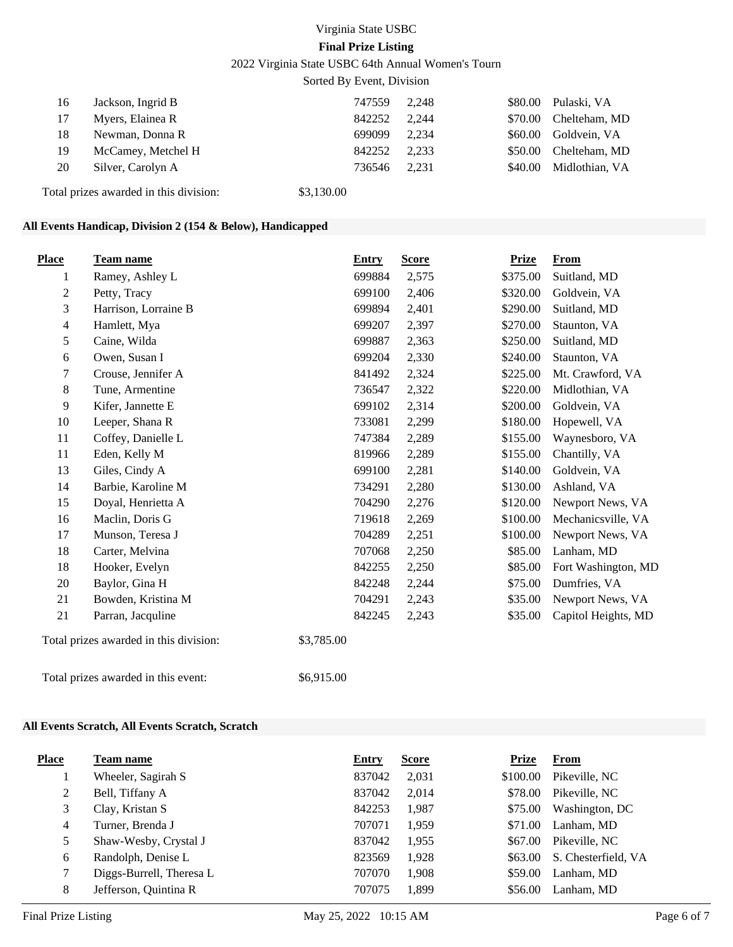2022 Virginia State USBC 64th Annual Women's Tourn

Sorted By Event, Division

| 16                                     | Jackson, Ingrid B  | 747559     | 2.248 |         | \$80.00 Pulaski, VA   |
|----------------------------------------|--------------------|------------|-------|---------|-----------------------|
| 17                                     | Myers, Elainea R   | 842252     | 2.244 |         | \$70.00 Chelteham, MD |
| 18                                     | Newman, Donna R    | 699099     | 2.234 | \$60.00 | Goldvein, VA          |
| 19                                     | McCamey, Metchel H | 842252     | 2.233 | \$50.00 | Chelteham, MD         |
| 20                                     | Silver, Carolyn A  | 736546     | 2.231 | \$40.00 | Midlothian, VA        |
| Total prizes awarded in this division: |                    | \$3,130.00 |       |         |                       |

# **All Events Handicap, Division 2 (154 & Below), Handicapped**

| <b>Place</b>                           | <b>Team name</b>     | <b>Entry</b> | <b>Score</b> | <b>Prize</b> | <b>From</b>         |
|----------------------------------------|----------------------|--------------|--------------|--------------|---------------------|
| 1                                      | Ramey, Ashley L      | 699884       | 2,575        | \$375.00     | Suitland, MD        |
| $\mathbf{2}$                           | Petty, Tracy         | 699100       | 2,406        | \$320.00     | Goldvein, VA        |
| 3                                      | Harrison, Lorraine B | 699894       | 2,401        | \$290.00     | Suitland, MD        |
| 4                                      | Hamlett, Mya         | 699207       | 2,397        | \$270.00     | Staunton, VA        |
| 5                                      | Caine, Wilda         | 699887       | 2,363        | \$250.00     | Suitland, MD        |
| 6                                      | Owen, Susan I        | 699204       | 2,330        | \$240.00     | Staunton, VA        |
| 7                                      | Crouse, Jennifer A   | 841492       | 2,324        | \$225.00     | Mt. Crawford, VA    |
| 8                                      | Tune, Armentine      | 736547       | 2,322        | \$220.00     | Midlothian, VA      |
| 9                                      | Kifer, Jannette E    | 699102       | 2,314        | \$200.00     | Goldvein, VA        |
| 10                                     | Leeper, Shana R      | 733081       | 2,299        | \$180.00     | Hopewell, VA        |
| 11                                     | Coffey, Danielle L   | 747384       | 2,289        | \$155.00     | Waynesboro, VA      |
| 11                                     | Eden, Kelly M        | 819966       | 2,289        | \$155.00     | Chantilly, VA       |
| 13                                     | Giles, Cindy A       | 699100       | 2,281        | \$140.00     | Goldvein, VA        |
| 14                                     | Barbie, Karoline M   | 734291       | 2,280        | \$130.00     | Ashland, VA         |
| 15                                     | Doyal, Henrietta A   | 704290       | 2,276        | \$120.00     | Newport News, VA    |
| 16                                     | Maclin, Doris G      | 719618       | 2,269        | \$100.00     | Mechanicsville, VA  |
| 17                                     | Munson, Teresa J     | 704289       | 2,251        | \$100.00     | Newport News, VA    |
| 18                                     | Carter, Melvina      | 707068       | 2,250        | \$85.00      | Lanham, MD          |
| 18                                     | Hooker, Evelyn       | 842255       | 2,250        | \$85.00      | Fort Washington, MD |
| 20                                     | Baylor, Gina H       | 842248       | 2,244        | \$75.00      | Dumfries, VA        |
| 21                                     | Bowden, Kristina M   | 704291       | 2,243        | \$35.00      | Newport News, VA    |
| 21                                     | Parran, Jacquline    | 842245       | 2,243        | \$35.00      | Capitol Heights, MD |
| Total prizes awarded in this division: |                      | \$3,785.00   |              |              |                     |
| Total prizes awarded in this event:    |                      | \$6,915.00   |              |              |                     |

#### **All Events Scratch, All Events Scratch, Scratch**

| <b>Place</b> | Team name                | <b>Entry</b> | <b>Score</b> | Prize    | <b>From</b>         |
|--------------|--------------------------|--------------|--------------|----------|---------------------|
|              | Wheeler, Sagirah S       | 837042       | 2,031        | \$100.00 | Pikeville, NC       |
| 2            | Bell, Tiffany A          | 837042       | 2.014        | \$78.00  | Pikeville, NC       |
| 3            | Clay, Kristan S          | 842253       | 1,987        | \$75.00  | Washington, DC      |
| 4            | Turner, Brenda J         | 707071       | 1.959        | \$71.00  | Lanham, MD          |
|              | Shaw-Wesby, Crystal J    | 837042       | 1,955        | \$67.00  | Pikeville, NC       |
| 6            | Randolph, Denise L       | 823569       | 1,928        | \$63.00  | S. Chesterfield, VA |
|              | Diggs-Burrell, Theresa L | 707070       | 1,908        | \$59.00  | Lanham, MD          |
| 8            | Jefferson, Quintina R    | 707075       | 1,899        | \$56.00  | Lanham, MD          |